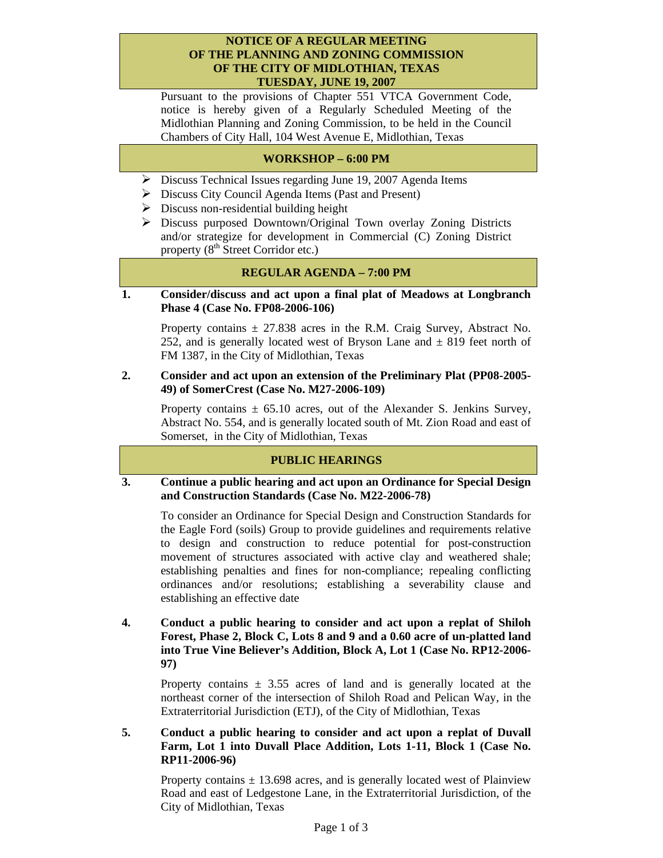### **NOTICE OF A REGULAR MEETING OF THE PLANNING AND ZONING COMMISSION OF THE CITY OF MIDLOTHIAN, TEXAS TUESDAY, JUNE 19, 2007**

Pursuant to the provisions of Chapter 551 VTCA Government Code, notice is hereby given of a Regularly Scheduled Meeting of the Midlothian Planning and Zoning Commission, to be held in the Council Chambers of City Hall, 104 West Avenue E, Midlothian, Texas

# **WORKSHOP – 6:00 PM**

- Discuss Technical Issues regarding June 19, 2007 Agenda Items
- $\triangleright$  Discuss City Council Agenda Items (Past and Present)
- $\triangleright$  Discuss non-residential building height
- ¾ Discuss purposed Downtown/Original Town overlay Zoning Districts and/or strategize for development in Commercial (C) Zoning District property  $(8<sup>th</sup> Street Corridor etc.)$

### **REGULAR AGENDA – 7:00 PM**

### **1. Consider/discuss and act upon a final plat of Meadows at Longbranch Phase 4 (Case No. FP08-2006-106)**

Property contains  $\pm$  27.838 acres in the R.M. Craig Survey, Abstract No. 252, and is generally located west of Bryson Lane and  $\pm$  819 feet north of FM 1387, in the City of Midlothian, Texas

### **2. Consider and act upon an extension of the Preliminary Plat (PP08-2005- 49) of SomerCrest (Case No. M27-2006-109)**

Property contains  $\pm$  65.10 acres, out of the Alexander S. Jenkins Survey, Abstract No. 554, and is generally located south of Mt. Zion Road and east of Somerset, in the City of Midlothian, Texas

### **PUBLIC HEARINGS**

### **3. Continue a public hearing and act upon an Ordinance for Special Design and Construction Standards (Case No. M22-2006-78)**

To consider an Ordinance for Special Design and Construction Standards for the Eagle Ford (soils) Group to provide guidelines and requirements relative to design and construction to reduce potential for post-construction movement of structures associated with active clay and weathered shale; establishing penalties and fines for non-compliance; repealing conflicting ordinances and/or resolutions; establishing a severability clause and establishing an effective date

**4. Conduct a public hearing to consider and act upon a replat of Shiloh Forest, Phase 2, Block C, Lots 8 and 9 and a 0.60 acre of un-platted land into True Vine Believer's Addition, Block A, Lot 1 (Case No. RP12-2006- 97)** 

Property contains  $\pm$  3.55 acres of land and is generally located at the northeast corner of the intersection of Shiloh Road and Pelican Way, in the Extraterritorial Jurisdiction (ETJ), of the City of Midlothian, Texas

**5. Conduct a public hearing to consider and act upon a replat of Duvall Farm, Lot 1 into Duvall Place Addition, Lots 1-11, Block 1 (Case No. RP11-2006-96)** 

Property contains  $\pm$  13.698 acres, and is generally located west of Plainview Road and east of Ledgestone Lane, in the Extraterritorial Jurisdiction, of the City of Midlothian, Texas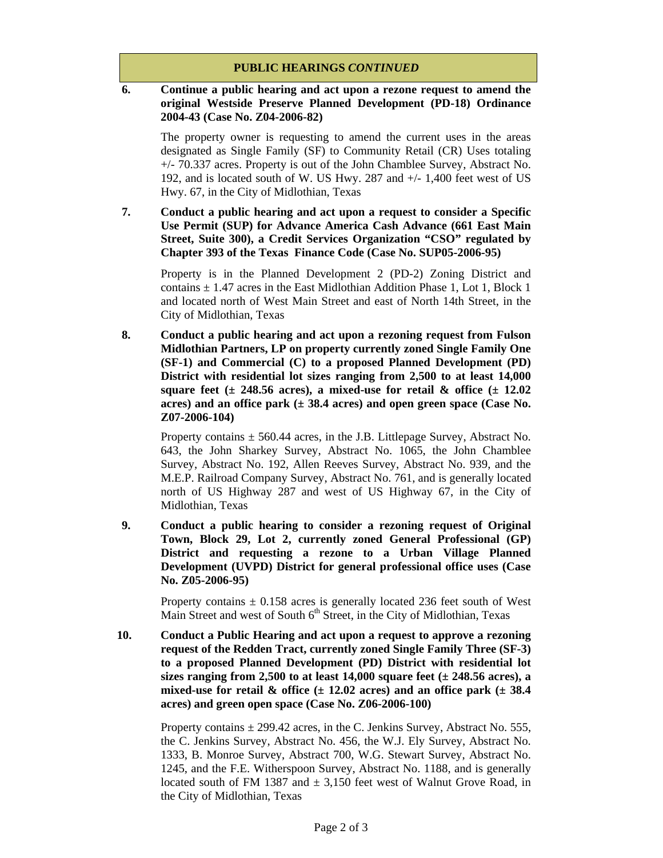## **PUBLIC HEARINGS** *CONTINUED*

## **6. Continue a public hearing and act upon a rezone request to amend the original Westside Preserve Planned Development (PD-18) Ordinance 2004-43 (Case No. Z04-2006-82)**

The property owner is requesting to amend the current uses in the areas designated as Single Family (SF) to Community Retail (CR) Uses totaling +/- 70.337 acres. Property is out of the John Chamblee Survey, Abstract No. 192, and is located south of W. US Hwy. 287 and +/- 1,400 feet west of US Hwy. 67, in the City of Midlothian, Texas

**7. Conduct a public hearing and act upon a request to consider a Specific Use Permit (SUP) for Advance America Cash Advance (661 East Main Street, Suite 300), a Credit Services Organization "CSO" regulated by Chapter 393 of the Texas Finance Code (Case No. SUP05-2006-95)** 

Property is in the Planned Development 2 (PD-2) Zoning District and contains  $\pm$  1.47 acres in the East Midlothian Addition Phase 1, Lot 1, Block 1 and located north of West Main Street and east of North 14th Street, in the City of Midlothian, Texas

**8. Conduct a public hearing and act upon a rezoning request from Fulson Midlothian Partners, LP on property currently zoned Single Family One (SF-1) and Commercial (C) to a proposed Planned Development (PD) District with residential lot sizes ranging from 2,500 to at least 14,000**  square feet  $(\pm 248.56 \text{ acres})$ , a mixed-use for retail  $\&$  office  $(\pm 12.02 \text{ miles})$ **acres) and an office park (± 38.4 acres) and open green space (Case No. Z07-2006-104)** 

Property contains  $\pm$  560.44 acres, in the J.B. Littlepage Survey, Abstract No. 643, the John Sharkey Survey, Abstract No. 1065, the John Chamblee Survey, Abstract No. 192, Allen Reeves Survey, Abstract No. 939, and the M.E.P. Railroad Company Survey, Abstract No. 761, and is generally located north of US Highway 287 and west of US Highway 67, in the City of Midlothian, Texas

**9. Conduct a public hearing to consider a rezoning request of Original Town, Block 29, Lot 2, currently zoned General Professional (GP) District and requesting a rezone to a Urban Village Planned Development (UVPD) District for general professional office uses (Case No. Z05-2006-95)** 

Property contains  $\pm$  0.158 acres is generally located 236 feet south of West Main Street and west of South 6<sup>th</sup> Street, in the City of Midlothian, Texas

**10. Conduct a Public Hearing and act upon a request to approve a rezoning request of the Redden Tract, currently zoned Single Family Three (SF-3) to a proposed Planned Development (PD) District with residential lot sizes ranging from 2,500 to at least 14,000 square feet (± 248.56 acres), a**  mixed-use for retail  $\&$  office  $(\pm 12.02 \text{ acres})$  and an office park  $(\pm 38.4 \text{ miles})$ **acres) and green open space (Case No. Z06-2006-100)** 

> Property contains  $\pm 299.42$  acres, in the C. Jenkins Survey, Abstract No. 555, the C. Jenkins Survey, Abstract No. 456, the W.J. Ely Survey, Abstract No. 1333, B. Monroe Survey, Abstract 700, W.G. Stewart Survey, Abstract No. 1245, and the F.E. Witherspoon Survey, Abstract No. 1188, and is generally located south of FM 1387 and  $\pm$  3,150 feet west of Walnut Grove Road, in the City of Midlothian, Texas